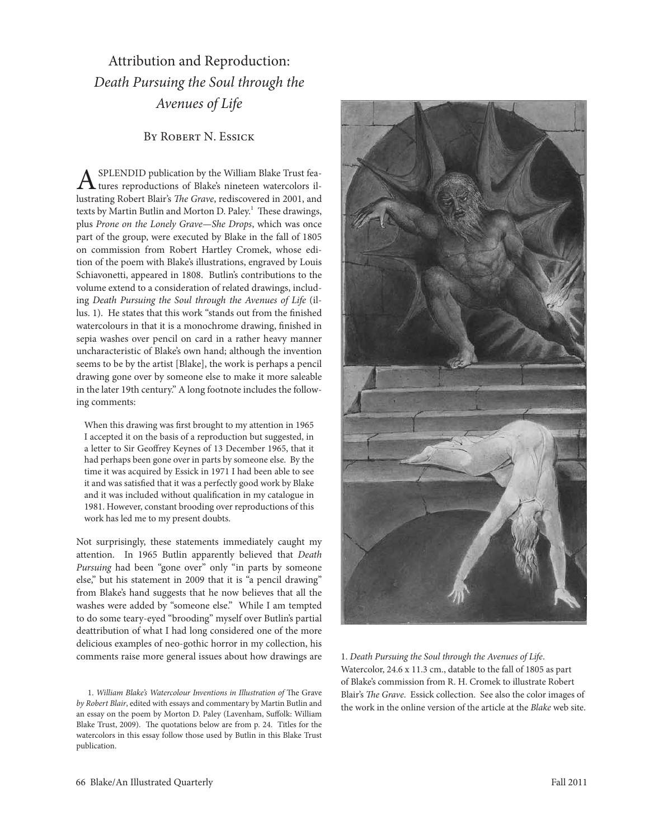Attribution and Reproduction: *Death Pursuing the Soul through the Avenues of Life*

BY ROBERT N. ESSICK

 $A$ <sup>SPLENDID</sup> publication by the William Blake Trust fea-<br>tures reproductions of Blake's nineteen watercolors illustrating Robert Blair's *The Grave*, rediscovered in 2001, and texts by Martin Butlin and Morton D. Paley.<sup>1</sup> These drawings, plus *Prone on the Lonely Grave—She Drops*, which was once part of the group, were executed by Blake in the fall of 1805 on commission from Robert Hartley Cromek, whose edition of the poem with Blake's illustrations, engraved by louis schiavonetti, appeared in 1808. Butlin's contributions to the volume extend to a consideration of related drawings, including *Death Pursuing the Soul through the Avenues of Life* (illus. 1). He states that this work "stands out from the finished watercolours in that it is a monochrome drawing, finished in sepia washes over pencil on card in a rather heavy manner uncharacteristic of Blake's own hand; although the invention seems to be by the artist [Blake], the work is perhaps a pencil drawing gone over by someone else to make it more saleable in the later 19th century." A long footnote includes the following comments:

When this drawing was first brought to my attention in 1965 I accepted it on the basis of a reproduction but suggested, in a letter to Sir Geoffrey Keynes of 13 December 1965, that it had perhaps been gone over in parts by someone else. By the time it was acquired by Essick in 1971 I had been able to see it and was satisfied that it was a perfectly good work by Blake and it was included without qualification in my catalogue in 1981. However, constant brooding over reproductions of this work has led me to my present doubts.

Not surprisingly, these statements immediately caught my attention. In 1965 Butlin apparently believed that *Death Pursuing* had been "gone over" only "in parts by someone else," but his statement in 2009 that it is "a pencil drawing" from Blake's hand suggests that he now believes that all the washes were added by "someone else." While I am tempted to do some teary-eyed "brooding" myself over Butlin's partial deattribution of what I had long considered one of the more delicious examples of neo-gothic horror in my collection, his comments raise more general issues about how drawings are

1. *William Blake's Watercolour Inventions in Illustration of* The Grave *by Robert Blair*, edited with essays and commentary by Martin Butlin and an essay on the poem by Morton D. Paley (Lavenham, Suffolk: William Blake Trust, 2009). The quotations below are from p. 24. Titles for the watercolors in this essay follow those used by Butlin in this Blake Trust publication.



1. *Death Pursuing the Soul through the Avenues of Life*. Watercolor, 24.6 x 11.3 cm., datable to the fall of 1805 as part of Blake's commission from R. H. Cromek to illustrate Robert Blair's *The Grave*. Essick collection. See also the color images of the work in the online version of the article at the *Blake* web site.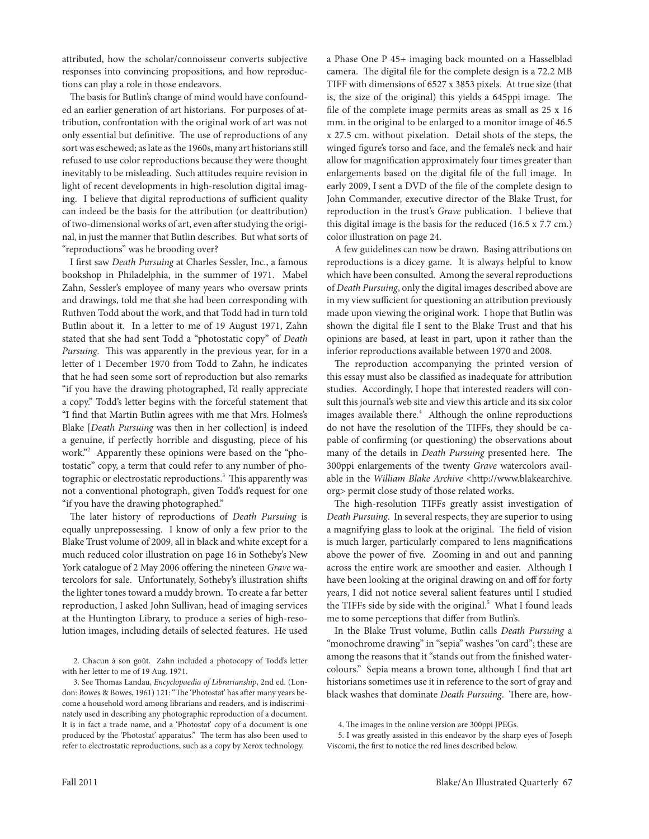attributed, how the scholar/connoisseur converts subjective responses into convincing propositions, and how reproductions can play a role in those endeavors.

The basis for Butlin's change of mind would have confounded an earlier generation of art historians. For purposes of attribution, confrontation with the original work of art was not only essential but definitive. The use of reproductions of any sort was eschewed; as late as the 1960s, many art historians still refused to use color reproductions because they were thought inevitably to be misleading. Such attitudes require revision in light of recent developments in high-resolution digital imaging. I believe that digital reproductions of sufficient quality can indeed be the basis for the attribution (or deattribution) of two-dimensional works of art, even after studying the original, in just the manner that Butlin describes. But what sorts of "reproductions" was he brooding over?

I first saw *Death Pursuing* at Charles Sessler, Inc., a famous bookshop in philadelphia, in the summer of 1971. Mabel Zahn, sessler's employee of many years who oversaw prints and drawings, told me that she had been corresponding with Ruthven Todd about the work, and that Todd had in turn told Butlin about it. In a letter to me of 19 August 1971, Zahn stated that she had sent Todd a "photostatic copy" of *Death Pursuing*. This was apparently in the previous year, for in a letter of 1 December 1970 from Todd to Zahn, he indicates that he had seen some sort of reproduction but also remarks "if you have the drawing photographed, I'd really appreciate a copy." Todd's letter begins with the forceful statement that "I find that Martin Butlin agrees with me that Mrs. Holmes's Blake [*Death Pursuing* was then in her collection] is indeed a genuine, if perfectly horrible and disgusting, piece of his work."2 Apparently these opinions were based on the "photostatic" copy, a term that could refer to any number of photographic or electrostatic reproductions.<sup>3</sup> This apparently was not a conventional photograph, given Todd's request for one "if you have the drawing photographed."

The later history of reproductions of *Death Pursuing* is equally unprepossessing. I know of only a few prior to the Blake Trust volume of 2009, all in black and white except for a much reduced color illustration on page 16 in Sotheby's New York catalogue of 2 May 2006 offering the nineteen *Grave* watercolors for sale. Unfortunately, sotheby's illustration shifts the lighter tones toward a muddy brown. To create a far better reproduction, I asked John sullivan, head of imaging services at the Huntington library, to produce a series of high-resolution images, including details of selected features. He used

2. Chacun à son goût. Zahn included a photocopy of Todd's letter with her letter to me of 19 Aug. 1971.

3. see Thomas landau, *Encyclopaedia of Librarianship*, 2nd ed. (london: Bowes & Bowes, 1961) 121: "The 'photostat' has after many years become a household word among librarians and readers, and is indiscriminately used in describing any photographic reproduction of a document. It is in fact a trade name, and a 'photostat' copy of a document is one produced by the 'photostat' apparatus." The term has also been used to refer to electrostatic reproductions, such as a copy by Xerox technology.

a phase One p 45+ imaging back mounted on a Hasselblad camera. The digital file for the complete design is a 72.2 MB TIFF with dimensions of 6527 x 3853 pixels. At true size (that is, the size of the original) this yields a 645ppi image. The file of the complete image permits areas as small as 25 x 16 mm. in the original to be enlarged to a monitor image of 46.5 x 27.5 cm. without pixelation. Detail shots of the steps, the winged figure's torso and face, and the female's neck and hair allow for magnification approximately four times greater than enlargements based on the digital file of the full image. In early 2009, I sent a DVD of the file of the complete design to John Commander, executive director of the Blake Trust, for reproduction in the trust's *Grave* publication. I believe that this digital image is the basis for the reduced (16.5 x 7.7 cm.) color illustration on page 24.

A few guidelines can now be drawn. Basing attributions on reproductions is a dicey game. It is always helpful to know which have been consulted. Among the several reproductions of *Death Pursuing*, only the digital images described above are in my view sufficient for questioning an attribution previously made upon viewing the original work. I hope that Butlin was shown the digital file I sent to the Blake Trust and that his opinions are based, at least in part, upon it rather than the inferior reproductions available between 1970 and 2008.

The reproduction accompanying the printed version of this essay must also be classified as inadequate for attribution studies. Accordingly, I hope that interested readers will consult this journal's web site and view this article and its six color images available there.<sup>4</sup> Although the online reproductions do not have the resolution of the TIFFs, they should be capable of confirming (or questioning) the observations about many of the details in *Death Pursuing* presented here. The 300ppi enlargements of the twenty *Grave* watercolors available in the *William Blake Archive* <http://www.blakearchive. org> permit close study of those related works.

The high-resolution TIFFs greatly assist investigation of *Death Pursuing*. In several respects, they are superior to using a magnifying glass to look at the original. The field of vision is much larger, particularly compared to lens magnifications above the power of five. Zooming in and out and panning across the entire work are smoother and easier. Although I have been looking at the original drawing on and off for forty years, I did not notice several salient features until I studied the TIFFs side by side with the original.<sup>5</sup> What I found leads me to some perceptions that differ from Butlin's.

In the Blake Trust volume, Butlin calls *Death Pursuing* a "monochrome drawing" in "sepia" washes "on card"; these are among the reasons that it "stands out from the finished watercolours." sepia means a brown tone, although I find that art historians sometimes use it in reference to the sort of gray and black washes that dominate *Death Pursuing*. There are, how-

<sup>4.</sup> The images in the online version are 300ppi JpeGs.

<sup>5.</sup> I was greatly assisted in this endeavor by the sharp eyes of Joseph Viscomi, the first to notice the red lines described below.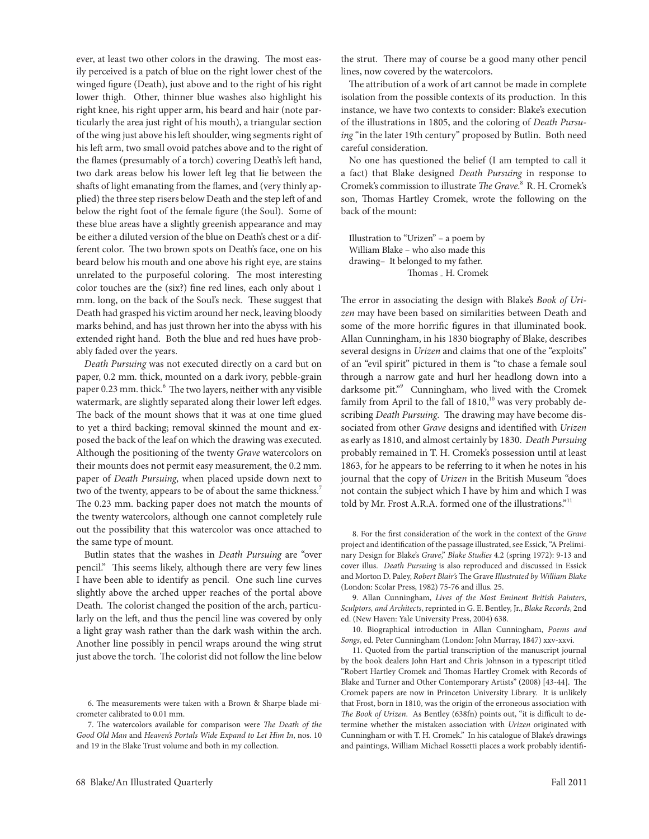ever, at least two other colors in the drawing. The most easily perceived is a patch of blue on the right lower chest of the winged figure (Death), just above and to the right of his right lower thigh. Other, thinner blue washes also highlight his right knee, his right upper arm, his beard and hair (note particularly the area just right of his mouth), a triangular section of the wing just above his left shoulder, wing segments right of his left arm, two small ovoid patches above and to the right of the flames (presumably of a torch) covering Death's left hand, two dark areas below his lower left leg that lie between the shafts of light emanating from the flames, and (very thinly applied) the three step risers below Death and the step left of and below the right foot of the female figure (the Soul). Some of these blue areas have a slightly greenish appearance and may be either a diluted version of the blue on Death's chest or a different color. The two brown spots on Death's face, one on his beard below his mouth and one above his right eye, are stains unrelated to the purposeful coloring. The most interesting color touches are the (six?) fine red lines, each only about 1 mm. long, on the back of the Soul's neck. These suggest that Death had grasped his victim around her neck, leaving bloody marks behind, and has just thrown her into the abyss with his extended right hand. Both the blue and red hues have probably faded over the years.

*Death Pursuing* was not executed directly on a card but on paper, 0.2 mm. thick, mounted on a dark ivory, pebble-grain paper 0.23 mm. thick.<sup>6</sup> The two layers, neither with any visible watermark, are slightly separated along their lower left edges. The back of the mount shows that it was at one time glued to yet a third backing; removal skinned the mount and exposed the back of the leaf on which the drawing was executed. Although the positioning of the twenty *Grave* watercolors on their mounts does not permit easy measurement, the 0.2 mm. paper of *Death Pursuing*, when placed upside down next to two of the twenty, appears to be of about the same thickness.<sup>7</sup> The 0.23 mm. backing paper does not match the mounts of the twenty watercolors, although one cannot completely rule out the possibility that this watercolor was once attached to the same type of mount.

Butlin states that the washes in *Death Pursuing* are "over pencil." This seems likely, although there are very few lines I have been able to identify as pencil. One such line curves slightly above the arched upper reaches of the portal above Death. The colorist changed the position of the arch, particularly on the left, and thus the pencil line was covered by only a light gray wash rather than the dark wash within the arch. Another line possibly in pencil wraps around the wing strut just above the torch. The colorist did not follow the line below

the strut. There may of course be a good many other pencil lines, now covered by the watercolors.

The attribution of a work of art cannot be made in complete isolation from the possible contexts of its production. In this instance, we have two contexts to consider: Blake's execution of the illustrations in 1805, and the coloring of *Death Pursuing* "in the later 19th century" proposed by Butlin. Both need careful consideration.

No one has questioned the belief (I am tempted to call it a fact) that Blake designed *Death Pursuing* in response to Cromek's commission to illustrate *The Grave*. 8 R. H. Cromek's son, Thomas Hartley Cromek, wrote the following on the back of the mount:

Illustration to "Urizen" – a poem by William Blake – who also made this drawing– It belonged to my father. Thomas <sub>-</sub> H. Cromek

The error in associating the design with Blake's *Book of Uri*zen may have been based on similarities between Death and some of the more horrific figures in that illuminated book. Allan Cunningham, in his 1830 biography of Blake, describes several designs in *Urizen* and claims that one of the "exploits" of an "evil spirit" pictured in them is "to chase a female soul through a narrow gate and hurl her headlong down into a darksome pit."<sup>9</sup> Cunningham, who lived with the Cromek family from April to the fall of  $1810$ ,<sup>10</sup> was very probably describing *Death Pursuing*. The drawing may have become dissociated from other *Grave* designs and identified with *Urizen* as early as 1810, and almost certainly by 1830. *Death Pursuing* probably remained in T. H. Cromek's possession until at least 1863, for he appears to be referring to it when he notes in his journal that the copy of *Urizen* in the British Museum "does not contain the subject which I have by him and which I was told by Mr. Frost A.R.A. formed one of the illustrations."<sup>11</sup>

8. For the first consideration of the work in the context of the *Grave* project and identification of the passage illustrated, see Essick, "A Preliminary Design for Blake's *Grave*," *Blake Studies* 4.2 (spring 1972): 9-13 and cover illus. *Death Pursuing* is also reproduced and discussed in Essick and Morton D. Paley, *Robert Blair's* The Grave Illustrated by William Blake (london: scolar press, 1982) 75-76 and illus. 25.

9. Allan Cunningham, *Lives of the Most Eminent British Painters, Sculptors, and Architects*, reprinted in G. e. Bentley, Jr., *Blake Records*, 2nd ed. (New Haven: Yale University Press, 2004) 638.

10. Biographical introduction in Allan Cunningham, *Poems and Songs*, ed. peter Cunningham (london: John Murray, 1847) xxv-xxvi.

11. Quoted from the partial transcription of the manuscript journal by the book dealers John Hart and Chris Johnson in a typescript titled "Robert Hartley Cromek and Thomas Hartley Cromek with Records of Blake and Turner and Other Contemporary Artists" (2008) [43-44]. The Cromek papers are now in princeton University library. It is unlikely that Frost, born in 1810, was the origin of the erroneous association with *The Book of Urizen*. As Bentley (638fn) points out, "it is difficult to determine whether the mistaken association with *Urizen* originated with Cunningham or with T. H. Cromek." In his catalogue of Blake's drawings and paintings, William Michael Rossetti places a work probably identifi-

<sup>6.</sup> The measurements were taken with a Brown & sharpe blade micrometer calibrated to 0.01 mm.

<sup>7.</sup> The watercolors available for comparison were *The Death of the Good Old Man* and *Heaven's Portals Wide Expand to Let Him In*, nos. 10 and 19 in the Blake Trust volume and both in my collection.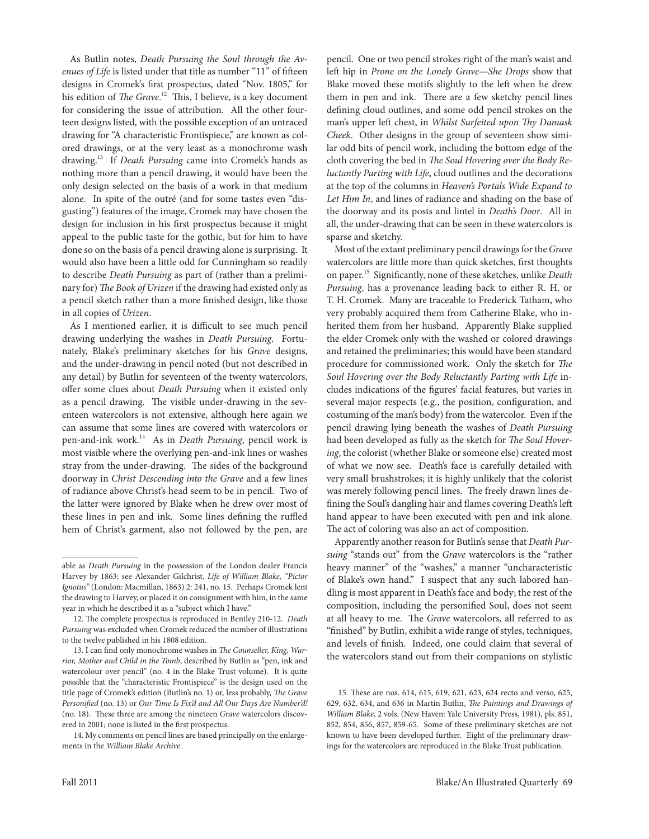As Butlin notes, *Death Pursuing the Soul through the Avenues of Life* is listed under that title as number "11" of fifteen designs in Cromek's first prospectus, dated "Nov. 1805," for his edition of *The Grave*. 12 This, I believe, is a key document for considering the issue of attribution. All the other fourteen designs listed, with the possible exception of an untraced drawing for "A characteristic Frontispiece," are known as colored drawings, or at the very least as a monochrome wash drawing.13 If *Death Pursuing* came into Cromek's hands as nothing more than a pencil drawing, it would have been the only design selected on the basis of a work in that medium alone. In spite of the outré (and for some tastes even "disgusting") features of the image, Cromek may have chosen the design for inclusion in his first prospectus because it might appeal to the public taste for the gothic, but for him to have done so on the basis of a pencil drawing alone is surprising. It would also have been a little odd for Cunningham so readily to describe *Death Pursuing* as part of (rather than a preliminary for) *The Book of Urizen* if the drawing had existed only as a pencil sketch rather than a more finished design, like those in all copies of *Urizen*.

As I mentioned earlier, it is difficult to see much pencil drawing underlying the washes in *Death Pursuing*. Fortunately, Blake's preliminary sketches for his *Grave* designs, and the under-drawing in pencil noted (but not described in any detail) by Butlin for seventeen of the twenty watercolors, offer some clues about *Death Pursuing* when it existed only as a pencil drawing. The visible under-drawing in the seventeen watercolors is not extensive, although here again we can assume that some lines are covered with watercolors or pen-and-ink work.14 As in *Death Pursuing*, pencil work is most visible where the overlying pen-and-ink lines or washes stray from the under-drawing. The sides of the background doorway in *Christ Descending into the Grave* and a few lines of radiance above Christ's head seem to be in pencil. Two of the latter were ignored by Blake when he drew over most of these lines in pen and ink. some lines defining the ruffled hem of Christ's garment, also not followed by the pen, are pencil. One or two pencil strokes right of the man's waist and left hip in *Prone on the Lonely Grave—She Drops* show that Blake moved these motifs slightly to the left when he drew them in pen and ink. There are a few sketchy pencil lines defining cloud outlines, and some odd pencil strokes on the man's upper left chest, in *Whilst Surfeited upon Thy Damask Cheek*. Other designs in the group of seventeen show similar odd bits of pencil work, including the bottom edge of the cloth covering the bed in *The Soul Hovering over the Body Reluctantly Parting with Life*, cloud outlines and the decorations at the top of the columns in *Heaven's Portals Wide Expand to Let Him In*, and lines of radiance and shading on the base of the doorway and its posts and lintel in *Death's Door*. All in all, the under-drawing that can be seen in these watercolors is sparse and sketchy.

Most of the extant preliminary pencil drawings for the *Grave* watercolors are little more than quick sketches, first thoughts on paper.15 significantly, none of these sketches, unlike *Death Pursuing*, has a provenance leading back to either R. H. or T. H. Cromek. Many are traceable to Frederick Tatham, who very probably acquired them from Catherine Blake, who inherited them from her husband. Apparently Blake supplied the elder Cromek only with the washed or colored drawings and retained the preliminaries; this would have been standard procedure for commissioned work. Only the sketch for *The Soul Hovering over the Body Reluctantly Parting with Life* includes indications of the figures' facial features, but varies in several major respects (e.g., the position, configuration, and costuming of the man's body) from the watercolor. Even if the pencil drawing lying beneath the washes of *Death Pursuing* had been developed as fully as the sketch for *The Soul Hovering*, the colorist (whether Blake or someone else) created most of what we now see. Death's face is carefully detailed with very small brushstrokes; it is highly unlikely that the colorist was merely following pencil lines. The freely drawn lines defining the Soul's dangling hair and flames covering Death's left hand appear to have been executed with pen and ink alone. The act of coloring was also an act of composition.

Apparently another reason for Butlin's sense that *Death Pursuing* "stands out" from the *Grave* watercolors is the "rather heavy manner" of the "washes," a manner "uncharacteristic of Blake's own hand." I suspect that any such labored handling is most apparent in Death's face and body; the rest of the composition, including the personified Soul, does not seem at all heavy to me. The *Grave* watercolors, all referred to as "finished" by Butlin, exhibit a wide range of styles, techniques, and levels of finish. Indeed, one could claim that several of the watercolors stand out from their companions on stylistic

able as *Death Pursuing* in the possession of the london dealer Francis Harvey by 1863; see Alexander Gilchrist, *Life of William Blake, "Pictor*  Ignotus" (London: Macmillan, 1863) 2: 241, no. 15. Perhaps Cromek lent the drawing to Harvey, or placed it on consignment with him, in the same year in which he described it as a "subject which I have."

<sup>12.</sup> The complete prospectus is reproduced in Bentley 210-12. *Death Pursuing* was excluded when Cromek reduced the number of illustrations to the twelve published in his 1808 edition.

<sup>13.</sup> I can find only monochrome washes in *The Counseller, King, Warrior, Mother and Child in the Tomb*, described by Butlin as "pen, ink and watercolour over pencil" (no. 4 in the Blake Trust volume). It is quite possible that the "characteristic Frontispiece" is the design used on the title page of Cromek's edition (Butlin's no. 1) or, less probably, *The Grave Personified* (no. 13) or *Our Time Is Fix'd and All Our Days Are Number'd!* (no. 18). These three are among the nineteen *Grave* watercolors discovered in 2001; none is listed in the first prospectus.

<sup>14.</sup> My comments on pencil lines are based principally on the enlargements in the *William Blake Archive*.

<sup>15.</sup> These are nos. 614, 615, 619, 621, 623, 624 recto and verso, 625, 629, 632, 634, and 636 in Martin Butlin, *The Paintings and Drawings of William Blake*, 2 vols. (New Haven: Yale University Press, 1981), pls. 851, 852, 854, 856, 857, 859-65. some of these preliminary sketches are not known to have been developed further. Eight of the preliminary drawings for the watercolors are reproduced in the Blake Trust publication.